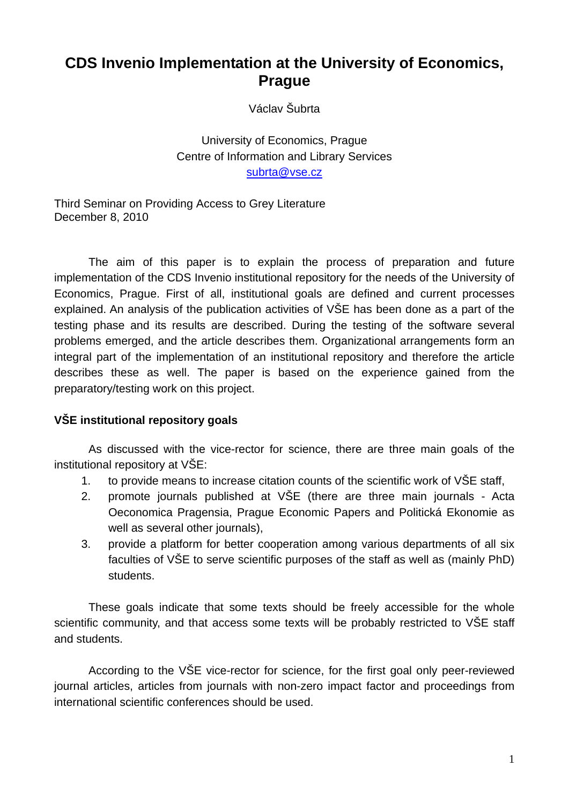# 0B**CDS Invenio Implementation at the University of Economics, Prague**

Václav Šubrta

University of Economics, Prague Centre of Information and Library Services subrta@vse.cz

Third Seminar on Providing Access to Grey Literature December 8, 2010

The aim of this paper is to explain the process of preparation and future implementation of the CDS Invenio institutional repository for the needs of the University of Economics, Prague. First of all, institutional goals are defined and current processes explained. An analysis of the publication activities of VŠE has been done as a part of the testing phase and its results are described. During the testing of the software several problems emerged, and the article describes them. Organizational arrangements form an integral part of the implementation of an institutional repository and therefore the article describes these as well. The paper is based on the experience gained from the preparatory/testing work on this project.

## 1B**VŠE institutional repository goals**

As discussed with the vice-rector for science, there are three main goals of the institutional repository at VŠE:

- 1. to provide means to increase citation counts of the scientific work of VŠE staff,
- 2. promote journals published at VŠE (there are three main journals Acta Oeconomica Pragensia, Prague Economic Papers and Politická Ekonomie as well as several other journals),
- 3. provide a platform for better cooperation among various departments of all six faculties of VŠE to serve scientific purposes of the staff as well as (mainly PhD) students.

These goals indicate that some texts should be freely accessible for the whole scientific community, and that access some texts will be probably restricted to VŠE staff and students.

According to the VŠE vice-rector for science, for the first goal only peer-reviewed journal articles, articles from journals with non-zero impact factor and proceedings from international scientific conferences should be used.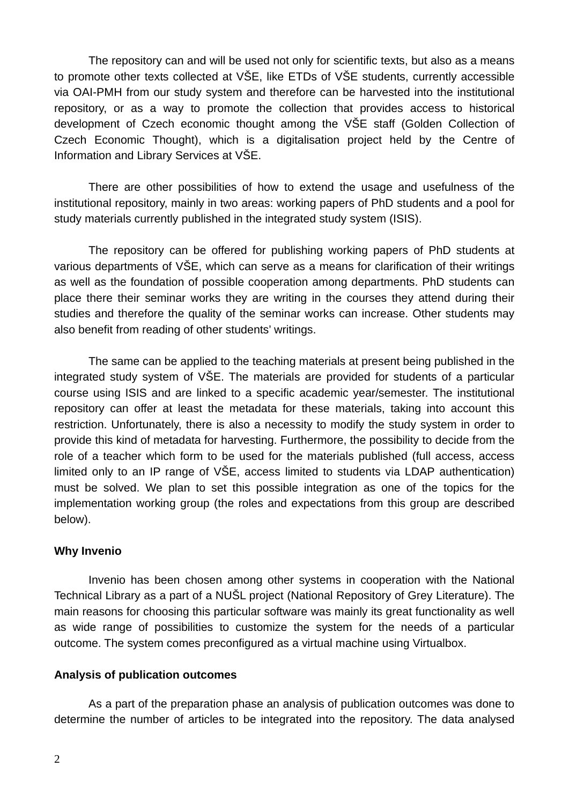The repository can and will be used not only for scientific texts, but also as a means to promote other texts collected at VŠE, like ETDs of VŠE students, currently accessible via OAI-PMH from our study system and therefore can be harvested into the institutional repository, or as a way to promote the collection that provides access to historical development of Czech economic thought among the VŠE staff (Golden Collection of Czech Economic Thought), which is a digitalisation project held by the Centre of Information and Library Services at VŠE.

There are other possibilities of how to extend the usage and usefulness of the institutional repository, mainly in two areas: working papers of PhD students and a pool for study materials currently published in the integrated study system (ISIS).

The repository can be offered for publishing working papers of PhD students at various departments of VŠE, which can serve as a means for clarification of their writings as well as the foundation of possible cooperation among departments. PhD students can place there their seminar works they are writing in the courses they attend during their studies and therefore the quality of the seminar works can increase. Other students may also benefit from reading of other students' writings.

The same can be applied to the teaching materials at present being published in the integrated study system of VŠE. The materials are provided for students of a particular course using ISIS and are linked to a specific academic year/semester. The institutional repository can offer at least the metadata for these materials, taking into account this restriction. Unfortunately, there is also a necessity to modify the study system in order to provide this kind of metadata for harvesting. Furthermore, the possibility to decide from the role of a teacher which form to be used for the materials published (full access, access limited only to an IP range of VŠE, access limited to students via LDAP authentication) must be solved. We plan to set this possible integration as one of the topics for the implementation working group (the roles and expectations from this group are described below).

### **Why Invenio**

Invenio has been chosen among other systems in cooperation with the National Technical Library as a part of a NUŠL project (National Repository of Grey Literature). The main reasons for choosing this particular software was mainly its great functionality as well as wide range of possibilities to customize the system for the needs of a particular outcome. The system comes preconfigured as a virtual machine using Virtualbox.

#### 3B**Analysis of publication outcomes**

As a part of the preparation phase an analysis of publication outcomes was done to determine the number of articles to be integrated into the repository. The data analysed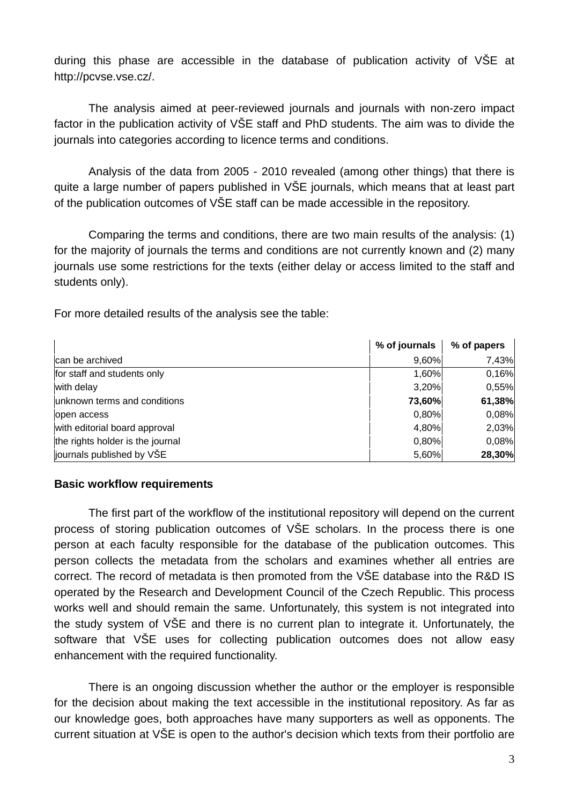during this phase are accessible in the database of publication activity of VŠE at http://pcvse.vse.cz/.

The analysis aimed at peer-reviewed journals and journals with non-zero impact factor in the publication activity of VŠE staff and PhD students. The aim was to divide the journals into categories according to licence terms and conditions.

Analysis of the data from 2005 - 2010 revealed (among other things) that there is quite a large number of papers published in VŠE journals, which means that at least part of the publication outcomes of VŠE staff can be made accessible in the repository.

Comparing the terms and conditions, there are two main results of the analysis: (1) for the majority of journals the terms and conditions are not currently known and (2) many journals use some restrictions for the texts (either delay or access limited to the staff and students only).

For more detailed results of the analysis see the table:

|                                  | % of journals | % of papers |
|----------------------------------|---------------|-------------|
| Ican be archived                 | 9,60%         | 7,43%       |
| for staff and students only      | 1,60%         | 0,16%       |
| with delay                       | 3,20%         | 0,55%       |
| unknown terms and conditions     | 73,60%        | 61,38%      |
| open access                      | 0,80%         | 0,08%       |
| with editorial board approval    | 4,80%         | 2,03%       |
| the rights holder is the journal | 0,80%         | 0,08%       |
| journals published by VŠE        | 5,60%         | 28,30%      |

#### 4B**Basic workflow requirements**

The first part of the workflow of the institutional repository will depend on the current process of storing publication outcomes of VŠE scholars. In the process there is one person at each faculty responsible for the database of the publication outcomes. This person collects the metadata from the scholars and examines whether all entries are correct. The record of metadata is then promoted from the VŠE database into the R&D IS operated by the Research and Development Council of the Czech Republic. This process works well and should remain the same. Unfortunately, this system is not integrated into the study system of VŠE and there is no current plan to integrate it. Unfortunately, the software that VŠE uses for collecting publication outcomes does not allow easy enhancement with the required functionality.

There is an ongoing discussion whether the author or the employer is responsible for the decision about making the text accessible in the institutional repository. As far as our knowledge goes, both approaches have many supporters as well as opponents. The current situation at VŠE is open to the author's decision which texts from their portfolio are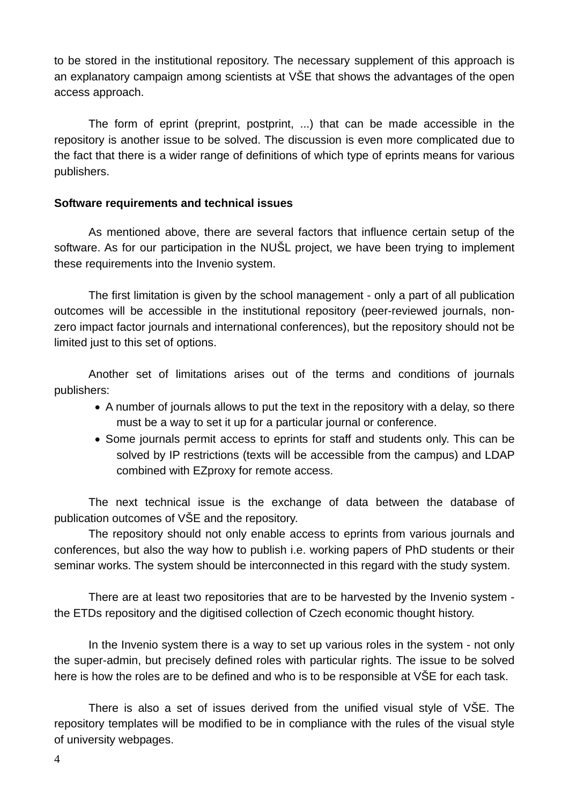to be stored in the institutional repository. The necessary supplement of this approach is an explanatory campaign among scientists at VŠE that shows the advantages of the open access approach.

The form of eprint (preprint, postprint, ...) that can be made accessible in the repository is another issue to be solved. The discussion is even more complicated due to the fact that there is a wider range of definitions of which type of eprints means for various publishers.

#### 5B**Software requirements and technical issues**

As mentioned above, there are several factors that influence certain setup of the software. As for our participation in the NUŠL project, we have been trying to implement these requirements into the Invenio system.

The first limitation is given by the school management - only a part of all publication outcomes will be accessible in the institutional repository (peer-reviewed journals, nonzero impact factor journals and international conferences), but the repository should not be limited just to this set of options.

Another set of limitations arises out of the terms and conditions of journals publishers:

- A number of journals allows to put the text in the repository with a delay, so there must be a way to set it up for a particular journal or conference.
- Some journals permit access to eprints for staff and students only. This can be solved by IP restrictions (texts will be accessible from the campus) and LDAP combined with EZproxy for remote access.

The next technical issue is the exchange of data between the database of publication outcomes of VŠE and the repository.

The repository should not only enable access to eprints from various journals and conferences, but also the way how to publish i.e. working papers of PhD students or their seminar works. The system should be interconnected in this regard with the study system.

There are at least two repositories that are to be harvested by the Invenio system the ETDs repository and the digitised collection of Czech economic thought history.

In the Invenio system there is a way to set up various roles in the system - not only the super-admin, but precisely defined roles with particular rights. The issue to be solved here is how the roles are to be defined and who is to be responsible at VŠE for each task.

There is also a set of issues derived from the unified visual style of VŠE. The repository templates will be modified to be in compliance with the rules of the visual style of university webpages.